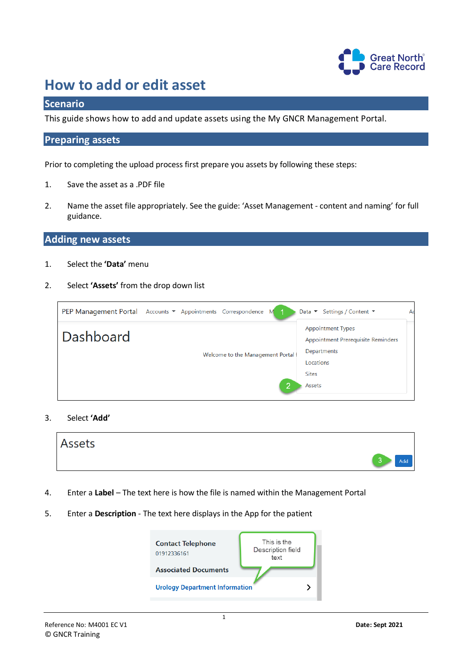

# **How to add or edit asset**

# **Scenario**

This guide shows how to add and update assets using the My GNCR Management Portal.

## **Preparing assets**

Prior to completing the upload process first prepare you assets by following these steps:

- 1. Save the asset as a .PDF file
- 2. Name the asset file appropriately. See the guide: 'Asset Management content and naming' for full guidance.

# **Adding new assets**

- 1. Select the **'Data'** menu
- 2. Select **'Assets'** from the drop down list

| PEP Management Portal Accounts ▼ Appointments Correspondence M | Settings / Content ▼<br>Ac<br>Data $\blacktriangledown$                                                                                                         |
|----------------------------------------------------------------|-----------------------------------------------------------------------------------------------------------------------------------------------------------------|
| Dashboard                                                      | <b>Appointment Types</b><br>Appointment Prerequisite Reminders<br>Departments<br>Welcome to the Management Portal f<br>Locations<br><b>Sites</b><br>0<br>Assets |

#### 3. Select **'Add'**



- 4. Enter a **Label** The text here is how the file is named within the Management Portal
- 5. Enter a **Description** The text here displays in the App for the patient

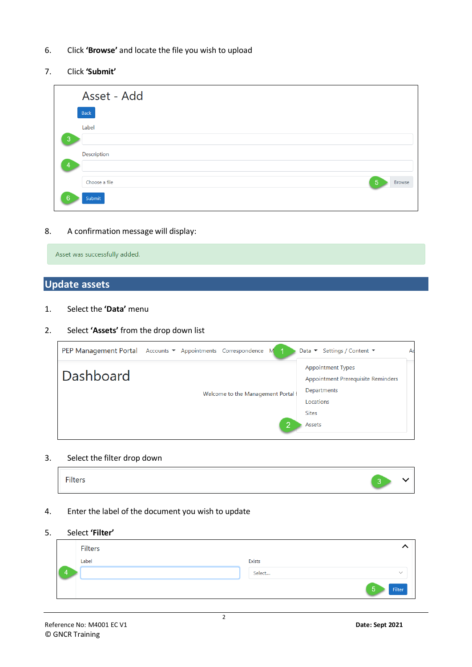- 6. Click **'Browse'** and locate the file you wish to upload
- 7. Click **'Submit'**

|                | Asset - Add                                      |
|----------------|--------------------------------------------------|
|                | <b>Back</b>                                      |
|                | Label                                            |
| $\overline{3}$ |                                                  |
| 4              | Description                                      |
|                |                                                  |
|                | $5\phantom{1}$<br>Choose a file<br><b>Browse</b> |
| 6              | Submit                                           |

8. A confirmation message will display:

|  | Asset was successfully added. |  |
|--|-------------------------------|--|
|  |                               |  |

# **Update assets**

- 1. Select the **'Data'** menu
- 2. Select **'Assets'** from the drop down list

| PEP Management Portal Accounts ▼ Appointments Correspondence M |                                    |   | Data $\blacktriangledown$ Settings / Content $\blacktriangledown$                                                    | Ad |
|----------------------------------------------------------------|------------------------------------|---|----------------------------------------------------------------------------------------------------------------------|----|
| Dashboard                                                      | Welcome to the Management Portal f | 2 | <b>Appointment Types</b><br>Appointment Prerequisite Reminders<br>Departments<br>Locations<br><b>Sites</b><br>Assets |    |

#### 3. Select the filter drop down

| <b>Filters</b> | $\sim$ |  |
|----------------|--------|--|
|----------------|--------|--|

# 4. Enter the label of the document you wish to update

### 5. Select **'Filter'**

| Filters |        |                      |
|---------|--------|----------------------|
| Label   | Exists |                      |
|         | Select | $\sim$               |
|         |        | $\sqrt{5}$<br>Filter |